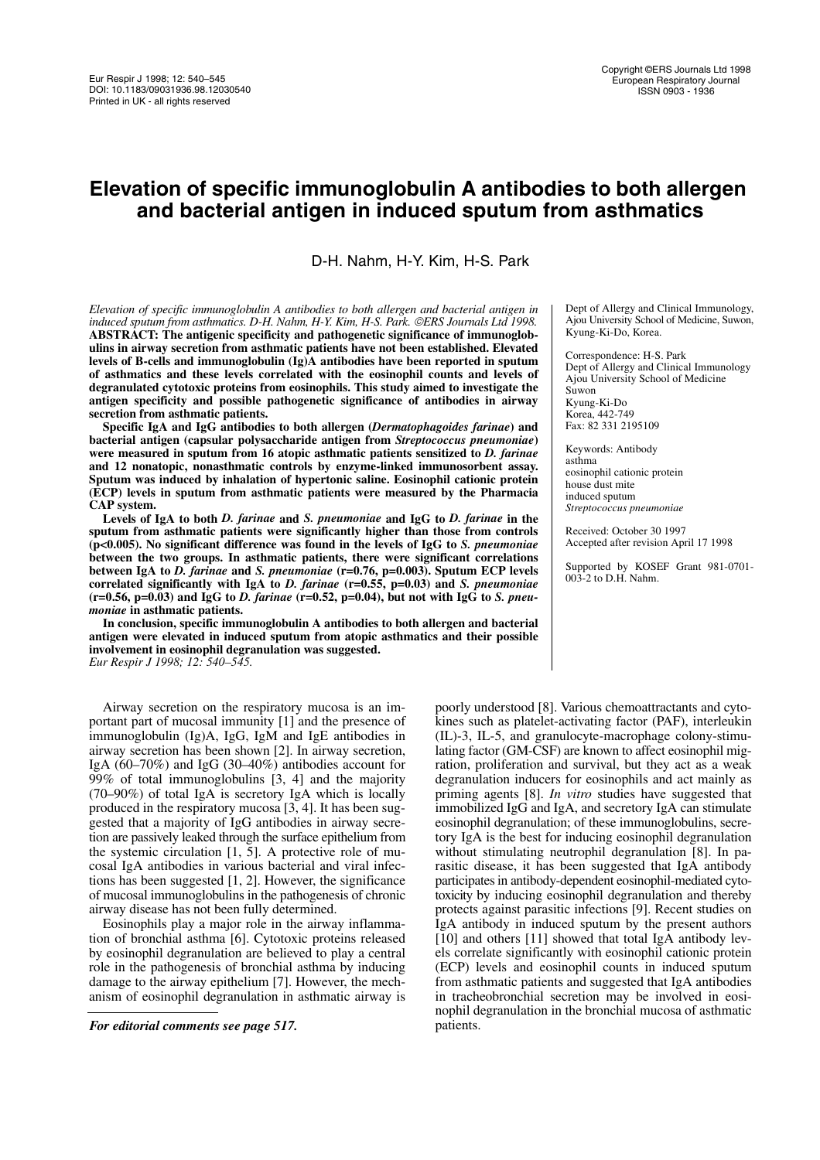# **Elevation of specific immunoglobulin A antibodies to both allergen and bacterial antigen in induced sputum from asthmatics**

D-H. Nahm, H-Y. Kim, H-S. Park

**aa** *Elevation of specific immunoglobulin A antibodies to both allergen and bacterial antigen in induced sputum from asthmatics. D-H. Nahm, H-Y. Kim, H-S. Park. ERS Journals Ltd 1998.* **ABSTRACT: The antigenic specificity and pathogenetic significance of immunoglobulins in airway secretion from asthmatic patients have not been established. Elevated levels of B-cells and immunoglobulin (Ig)A antibodies have been reported in sputum of asthmatics and these levels correlated with the eosinophil counts and levels of degranulated cytotoxic proteins from eosinophils. This study aimed to investigate the antigen specificity and possible pathogenetic significance of antibodies in airway secretion from asthmatic patients.**

**Specific IgA and IgG antibodies to both allergen (***Dermatophagoides farinae***) and bacterial antigen (capsular polysaccharide antigen from** *Streptococcus pneumoniae***) were measured in sputum from 16 atopic asthmatic patients sensitized to** *D. farinae* **and 12 nonatopic, nonasthmatic controls by enzyme-linked immunosorbent assay. Sputum was induced by inhalation of hypertonic saline. Eosinophil cationic protein (ECP) levels in sputum from asthmatic patients were measured by the Pharmacia CAP system.**

**Levels of IgA to both** *D. farinae* **and** *S. pneumoniae* **and IgG to** *D. farinae* **in the sputum from asthmatic patients were significantly higher than those from controls (p<0.005). No significant difference was found in the levels of IgG to** *S. pneumoniae* **between the two groups. In asthmatic patients, there were significant correlations between IgA to** *D. farinae* **and** *S. pneumoniae* **(r=0.76, p=0.003). Sputum ECP levels correlated significantly with IgA to** *D. farinae* **(r=0.55, p=0.03) and** *S. pneumoniae* **(r=0.56, p=0.03) and IgG to** *D. farinae* **(r=0.52, p=0.04), but not with IgG to** *S. pneumoniae* **in asthmatic patients.**

**In conclusion, specific immunoglobulin A antibodies to both allergen and bacterial antigen were elevated in induced sputum from atopic asthmatics and their possible involvement in eosinophil degranulation was suggested.** *Eur Respir J 1998; 12: 540–545.*

Airway secretion on the respiratory mucosa is an important part of mucosal immunity [1] and the presence of immunoglobulin (Ig)A, IgG, IgM and IgE antibodies in airway secretion has been shown [2]. In airway secretion, IgA (60–70%) and IgG (30–40%) antibodies account for 99% of total immunoglobulins [3, 4] and the majority (70–90%) of total IgA is secretory IgA which is locally produced in the respiratory mucosa [3, 4]. It has been suggested that a majority of IgG antibodies in airway secretion are passively leaked through the surface epithelium from the systemic circulation [1, 5]. A protective role of mucosal IgA antibodies in various bacterial and viral infections has been suggested [1, 2]. However, the significance of mucosal immunoglobulins in the pathogenesis of chronic airway disease has not been fully determined.

Eosinophils play a major role in the airway inflammation of bronchial asthma [6]. Cytotoxic proteins released by eosinophil degranulation are believed to play a central role in the pathogenesis of bronchial asthma by inducing damage to the airway epithelium [7]. However, the mechanism of eosinophil degranulation in asthmatic airway is

*For editorial comments see page 517.*

Dept of Allergy and Clinical Immunology, Ajou University School of Medicine, Suwon, Kyung-Ki-Do, Korea.

Correspondence: H-S. Park Dept of Allergy and Clinical Immunology Ajou University School of Medicine Suwon Kyung-Ki-Do Korea, 442-749 Fax: 82 331 2195109

Keywords: Antibody asthma eosinophil cationic protein house dust mite induced sputum *Streptococcus pneumoniae*

Received: October 30 1997 Accepted after revision April 17 1998

Supported by KOSEF Grant 981-0701- 003-2 to D.H. Nahm.

poorly understood [8]. Various chemoattractants and cytokines such as platelet-activating factor (PAF), interleukin (IL)-3, IL-5, and granulocyte-macrophage colony-stimulating factor (GM-CSF) are known to affect eosinophil migration, proliferation and survival, but they act as a weak degranulation inducers for eosinophils and act mainly as priming agents [8]. *In vitro* studies have suggested that immobilized IgG and IgA, and secretory IgA can stimulate eosinophil degranulation; of these immunoglobulins, secretory IgA is the best for inducing eosinophil degranulation without stimulating neutrophil degranulation [8]. In parasitic disease, it has been suggested that IgA antibody participates in antibody-dependent eosinophil-mediated cytotoxicity by inducing eosinophil degranulation and thereby protects against parasitic infections [9]. Recent studies on IgA antibody in induced sputum by the present authors [10] and others [11] showed that total IgA antibody levels correlate significantly with eosinophil cationic protein (ECP) levels and eosinophil counts in induced sputum from asthmatic patients and suggested that IgA antibodies in tracheobronchial secretion may be involved in eosinophil degranulation in the bronchial mucosa of asthmatic patients.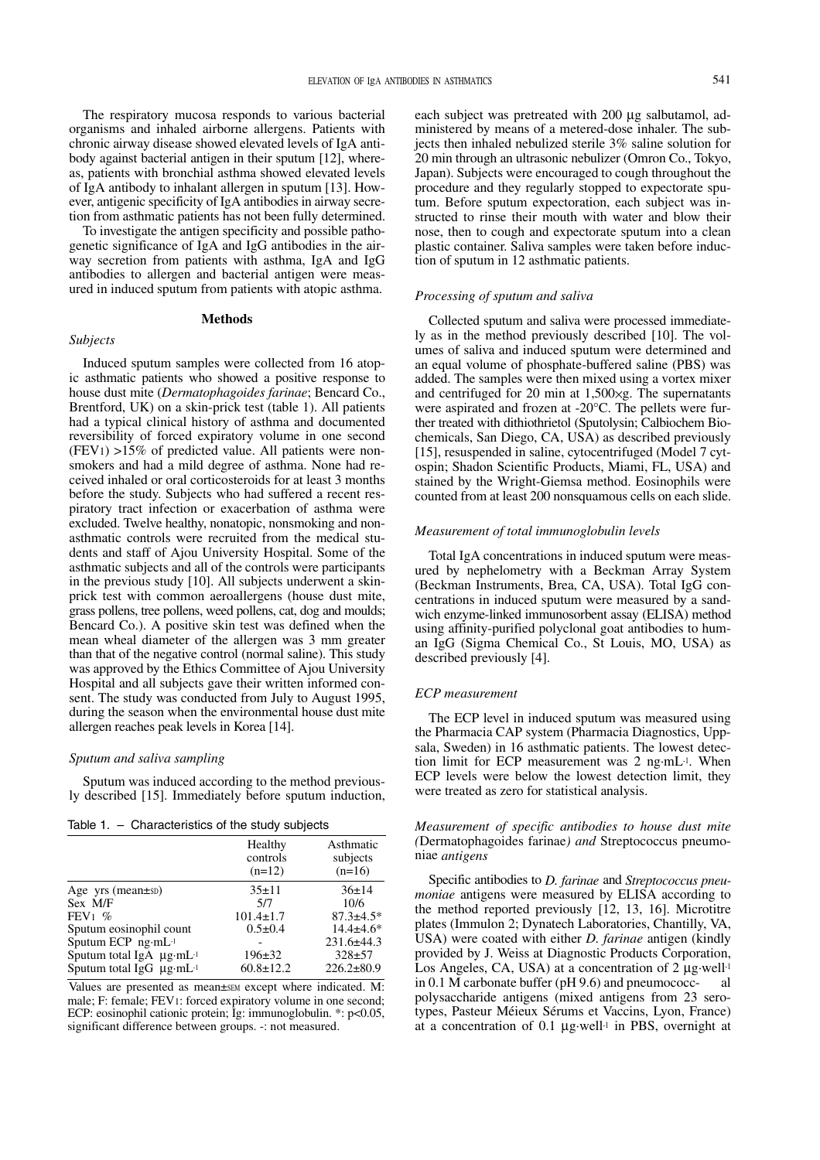The respiratory mucosa responds to various bacterial organisms and inhaled airborne allergens. Patients with chronic airway disease showed elevated levels of IgA antibody against bacterial antigen in their sputum [12], whereas, patients with bronchial asthma showed elevated levels of IgA antibody to inhalant allergen in sputum [13]. However, antigenic specificity of IgA antibodies in airway secretion from asthmatic patients has not been fully determined.

To investigate the antigen specificity and possible pathogenetic significance of IgA and IgG antibodies in the airway secretion from patients with asthma, IgA and IgG antibodies to allergen and bacterial antigen were measured in induced sputum from patients with atopic asthma.

#### **Methods**

# *Subjects*

Induced sputum samples were collected from 16 atopic asthmatic patients who showed a positive response to house dust mite (*Dermatophagoides farinae*; Bencard Co., Brentford, UK) on a skin-prick test (table 1). All patients had a typical clinical history of asthma and documented reversibility of forced expiratory volume in one second  $(FEV1) >15\%$  of predicted value. All patients were nonsmokers and had a mild degree of asthma. None had received inhaled or oral corticosteroids for at least 3 months before the study. Subjects who had suffered a recent respiratory tract infection or exacerbation of asthma were excluded. Twelve healthy, nonatopic, nonsmoking and nonasthmatic controls were recruited from the medical students and staff of Ajou University Hospital. Some of the asthmatic subjects and all of the controls were participants in the previous study [10]. All subjects underwent a skinprick test with common aeroallergens (house dust mite, grass pollens, tree pollens, weed pollens, cat, dog and moulds; Bencard Co.). A positive skin test was defined when the mean wheal diameter of the allergen was 3 mm greater than that of the negative control (normal saline). This study was approved by the Ethics Committee of Ajou University Hospital and all subjects gave their written informed consent. The study was conducted from July to August 1995, during the season when the environmental house dust mite allergen reaches peak levels in Korea [14].

# *Sputum and saliva sampling*

Sputum was induced according to the method previously described [15]. Immediately before sputum induction,

Table 1. – Characteristics of the study subjects

| Healthy<br>controls<br>$(n=12)$ | Asthmatic<br>subjects<br>$(n=16)$ |
|---------------------------------|-----------------------------------|
| $35+11$                         | 36±14                             |
| 5/7                             | 10/6                              |
| $101.4 \pm 1.7$                 | $87.3 \pm 4.5*$                   |
| $0.5 \pm 0.4$                   | $14.4 + 4.6*$                     |
|                                 | $231.6 \pm 44.3$                  |
| $196 \pm 32$                    | $328 + 57$                        |
| $60.8 \pm 12.2$                 | $226.2 \pm 80.9$                  |
|                                 |                                   |

Values are presented as mean±SEM except where indicated. M: male; F: female; FEV1: forced expiratory volume in one second; ECP: eosinophil cationic protein; Ig: immunoglobulin. \*: p<0.05, significant difference between groups. -: not measured.

each subject was pretreated with 200 µg salbutamol, administered by means of a metered-dose inhaler. The subjects then inhaled nebulized sterile 3% saline solution for 20 min through an ultrasonic nebulizer (Omron Co., Tokyo, Japan). Subjects were encouraged to cough throughout the procedure and they regularly stopped to expectorate sputum. Before sputum expectoration, each subject was instructed to rinse their mouth with water and blow their nose, then to cough and expectorate sputum into a clean plastic container. Saliva samples were taken before induction of sputum in 12 asthmatic patients.

#### *Processing of sputum and saliva*

Collected sputum and saliva were processed immediately as in the method previously described [10]. The volumes of saliva and induced sputum were determined and an equal volume of phosphate-buffered saline (PBS) was added. The samples were then mixed using a vortex mixer and centrifuged for 20 min at 1,500×g. The supernatants were aspirated and frozen at -20°C. The pellets were further treated with dithiothrietol (Sputolysin; Calbiochem Biochemicals, San Diego, CA, USA) as described previously [15], resuspended in saline, cytocentrifuged (Model 7 cytospin; Shadon Scientific Products, Miami, FL, USA) and stained by the Wright-Giemsa method. Eosinophils were counted from at least 200 nonsquamous cells on each slide.

# *Measurement of total immunoglobulin levels*

Total IgA concentrations in induced sputum were measured by nephelometry with a Beckman Array System (Beckman Instruments, Brea, CA, USA). Total IgG concentrations in induced sputum were measured by a sandwich enzyme-linked immunosorbent assay (ELISA) method using affinity-purified polyclonal goat antibodies to human IgG (Sigma Chemical Co., St Louis, MO, USA) as described previously [4].

#### *ECP measurement*

The ECP level in induced sputum was measured using the Pharmacia CAP system (Pharmacia Diagnostics, Uppsala, Sweden) in 16 asthmatic patients. The lowest detection limit for ECP measurement was 2 ng·mL-1. When ECP levels were below the lowest detection limit, they were treated as zero for statistical analysis.

*Measurement of specific antibodies to house dust mite (*Dermatophagoides farinae*) and* Streptococcus pneumoniae *antigens*

Specific antibodies to *D. farinae* and *Streptococcus pneumoniae* antigens were measured by ELISA according to the method reported previously [12, 13, 16]. Microtitre plates (Immulon 2; Dynatech Laboratories, Chantilly, VA, USA) were coated with either *D. farinae* antigen (kindly provided by J. Weiss at Diagnostic Products Corporation, Los Angeles, CA, USA) at a concentration of  $2 \mu$ g·well<sup>-1</sup> in 0.1 M carbonate buffer (pH 9.6) and pneumococc- al polysaccharide antigens (mixed antigens from 23 serotypes, Pasteur Méieux Sérums et Vaccins, Lyon, France) at a concentration of 0.1 µg·well-1 in PBS, overnight at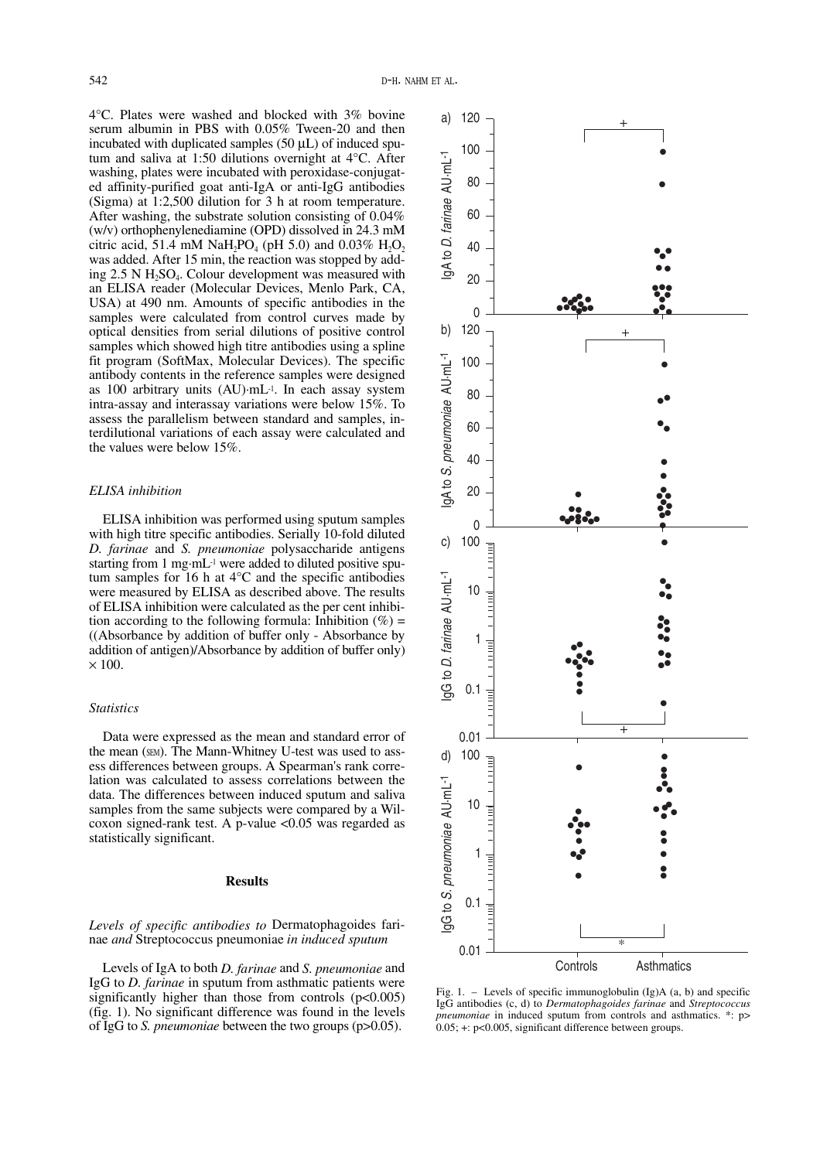4°C. Plates were washed and blocked with 3% bovine serum albumin in PBS with 0.05% Tween-20 and then incubated with duplicated samples  $(50 \mu L)$  of induced sputum and saliva at 1:50 dilutions overnight at 4°C. After washing, plates were incubated with peroxidase-conjugated affinity-purified goat anti-IgA or anti-IgG antibodies (Sigma) at 1:2,500 dilution for 3 h at room temperature. After washing, the substrate solution consisting of 0.04% (w/v) orthophenylenediamine (OPD) dissolved in 24.3 mM citric acid, 51.4 mM NaH<sub>2</sub>PO<sub>4</sub> (pH 5.0) and 0.03%  $H_2O_2$ was added. After 15 min, the reaction was stopped by adding  $2.5$  N H<sub>2</sub>SO<sub>4</sub>. Colour development was measured with an ELISA reader (Molecular Devices, Menlo Park, CA, USA) at 490 nm. Amounts of specific antibodies in the samples were calculated from control curves made by optical densities from serial dilutions of positive control samples which showed high titre antibodies using a spline fit program (SoftMax, Molecular Devices). The specific antibody contents in the reference samples were designed as 100 arbitrary units (AU)·mL-1. In each assay system intra-assay and interassay variations were below 15%. To assess the parallelism between standard and samples, interdilutional variations of each assay were calculated and the values were below 15%.

# *ELISA inhibition*

ELISA inhibition was performed using sputum samples with high titre specific antibodies. Serially 10-fold diluted *D. farinae* and *S. pneumoniae* polysaccharide antigens starting from 1 mg·mL-1 were added to diluted positive sputum samples for 16 h at 4°C and the specific antibodies were measured by ELISA as described above. The results of ELISA inhibition were calculated as the per cent inhibition according to the following formula: Inhibition  $(\%) =$ ((Absorbance by addition of buffer only - Absorbance by addition of antigen)/Absorbance by addition of buffer only)  $\times$  100.

# *Statistics*

Data were expressed as the mean and standard error of the mean (SEM). The Mann-Whitney U-test was used to assess differences between groups. A Spearman's rank correlation was calculated to assess correlations between the data. The differences between induced sputum and saliva samples from the same subjects were compared by a Wilcoxon signed-rank test. A p-value <0.05 was regarded as statistically significant.

# **Results**

# *Levels of specific antibodies to* Dermatophagoides farinae *and* Streptococcus pneumoniae *in induced sputum*

Levels of IgA to both *D. farinae* and *S. pneumoniae* and IgG to *D. farinae* in sputum from asthmatic patients were significantly higher than those from controls  $(p<0.005)$ (fig. 1). No significant difference was found in the levels of IgG to *S. pneumoniae* between the two groups (p>0.05).



Fig. 1. – Levels of specific immunoglobulin  $(Ig)A$  (a, b) and specific IgG antibodies (c, d) to *Dermatophagoides farinae* and *Streptococcus pneumoniae* in induced sputum from controls and asthmatics. \*: p> 0.05; +: p<0.005, significant difference between groups.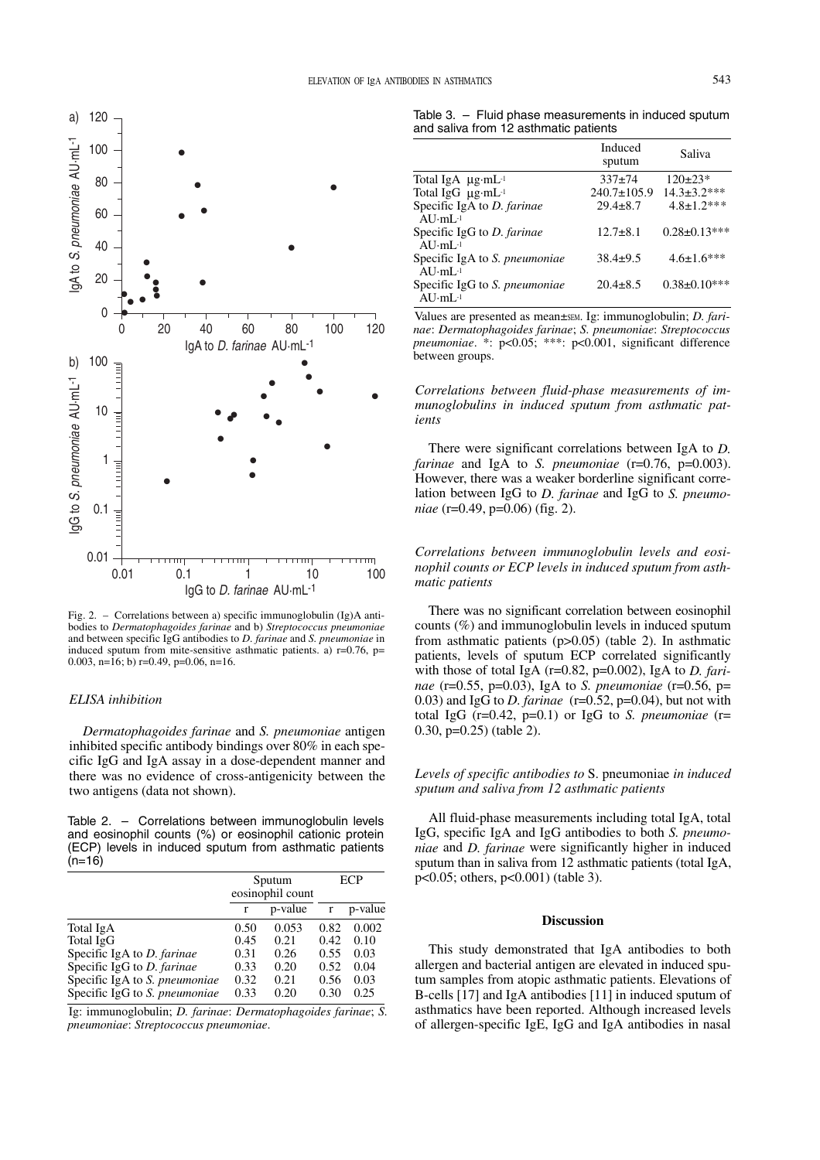

Fig. 2. – Correlations between a) specific immunoglobulin (Ig)A antibodies to *Dermatophagoides farinae* and b) *Streptococcus pneumoniae* and between specific IgG antibodies to *D. farinae* and *S. pneumoniae* in induced sputum from mite-sensitive asthmatic patients. a)  $r=0.76$ ,  $p=$ 0.003, n= $16$ ; b) r=0.49, p=0.06, n=16.

# *ELISA inhibition*

*Dermatophagoides farinae* and *S. pneumoniae* antigen inhibited specific antibody bindings over 80% in each specific IgG and IgA assay in a dose-dependent manner and there was no evidence of cross-antigenicity between the two antigens (data not shown).

Table 2. – Correlations between immunoglobulin levels and eosinophil counts (%) or eosinophil cationic protein (ECP) levels in induced sputum from asthmatic patients  $(n=16)$ 

|                                      | Sputum<br>eosinophil count |         | <b>ECP</b> |         |
|--------------------------------------|----------------------------|---------|------------|---------|
|                                      | r                          | p-value | r          | p-value |
| Total IgA                            | 0.50                       | 0.053   | 0.82       | 0.002   |
| Total IgG                            | 0.45                       | 0.21    | 0.42       | 0.10    |
| Specific IgA to D. farinae           | 0.31                       | 0.26    | 0.55       | 0.03    |
| Specific IgG to D. farinae           | 0.33                       | 0.20    | 0.52       | 0.04    |
| Specific IgA to S. <i>pneumoniae</i> | 0.32                       | 0.21    | 0.56       | 0.03    |
| Specific IgG to S. pneumoniae        | 0.33                       | 0.20    | 0.30       | 0.25    |

Ig: immunoglobulin; *D. farinae*: *Dermatophagoides farinae*; *S. pneumoniae*: *Streptococcus pneumoniae*.

Table 3. – Fluid phase measurements in induced sputum and saliva from 12 asthmatic patients

|                                                         | Induced<br>sputum | Saliva              |
|---------------------------------------------------------|-------------------|---------------------|
| Total IgA $\mu$ g·mL <sup>-1</sup>                      | $337+74$          | $120\pm23*$         |
| Total IgG $\mu$ g·mL <sup>-1</sup>                      | $240.7 \pm 105.9$ | $14.3 \pm 3.2$ ***  |
| Specific IgA to D. farinae<br>$AIJ·mI$ <sub>-1</sub>    | $29.4 \pm 8.7$    | $4.8 \pm 1.2$ ***   |
| Specific IgG to D. farinae<br>$AIJ·mI.$ <sup>1</sup>    | $12.7 + 8.1$      | $0.28 \pm 0.13$ *** |
| Specific IgA to S. pneumoniae<br>$AIJ·mI.$ <sup>1</sup> | $38.4 \pm 9.5$    | $4.6 \pm 1.6$ ***   |
| Specific IgG to S. pneumoniae<br>AIJ·mI.                | $20.4 \pm 8.5$    | $0.38 \pm 0.10$ *** |

Values are presented as mean±sEM. Ig: immunoglobulin; *D. farinae*: *Dermatophagoides farinae*; *S. pneumoniae*: *Streptococcus pneumoniae*. \*: p<0.05; \*\*\*: p<0.001, significant difference between groups.

*Correlations between fluid-phase measurements of immunoglobulins in induced sputum from asthmatic patients*

There were significant correlations between IgA to *D. farinae* and IgA to *S. pneumoniae* (r=0.76, p=0.003). However, there was a weaker borderline significant correlation between IgG to *D. farinae* and IgG to *S. pneumoniae* (r=0.49, p=0.06) (fig. 2).

*Correlations between immunoglobulin levels and eosinophil counts or ECP levels in induced sputum from asthmatic patients*

There was no significant correlation between eosinophil counts (%) and immunoglobulin levels in induced sputum from asthmatic patients (p>0.05) (table 2). In asthmatic patients, levels of sputum ECP correlated significantly with those of total IgA (r=0.82, p=0.002), IgA to *D. farinae* (r=0.55, p=0.03), IgA to *S. pneumoniae* (r=0.56, p= 0.03) and IgG to *D. farinae* ( $r=0.52$ ,  $p=0.04$ ), but not with total IgG  $(r=0.42, p=0.1)$  or IgG to *S. pneumoniae*  $(r=$ 0.30, p=0.25) (table 2).

# *Levels of specific antibodies to* S. pneumoniae *in induced sputum and saliva from 12 asthmatic patients*

All fluid-phase measurements including total IgA, total IgG, specific IgA and IgG antibodies to both *S. pneumoniae* and *D. farinae* were significantly higher in induced sputum than in saliva from 12 asthmatic patients (total IgA, p<0.05; others, p<0.001) (table 3).

### **Discussion**

This study demonstrated that IgA antibodies to both allergen and bacterial antigen are elevated in induced sputum samples from atopic asthmatic patients. Elevations of B-cells [17] and IgA antibodies [11] in induced sputum of asthmatics have been reported. Although increased levels of allergen-specific IgE, IgG and IgA antibodies in nasal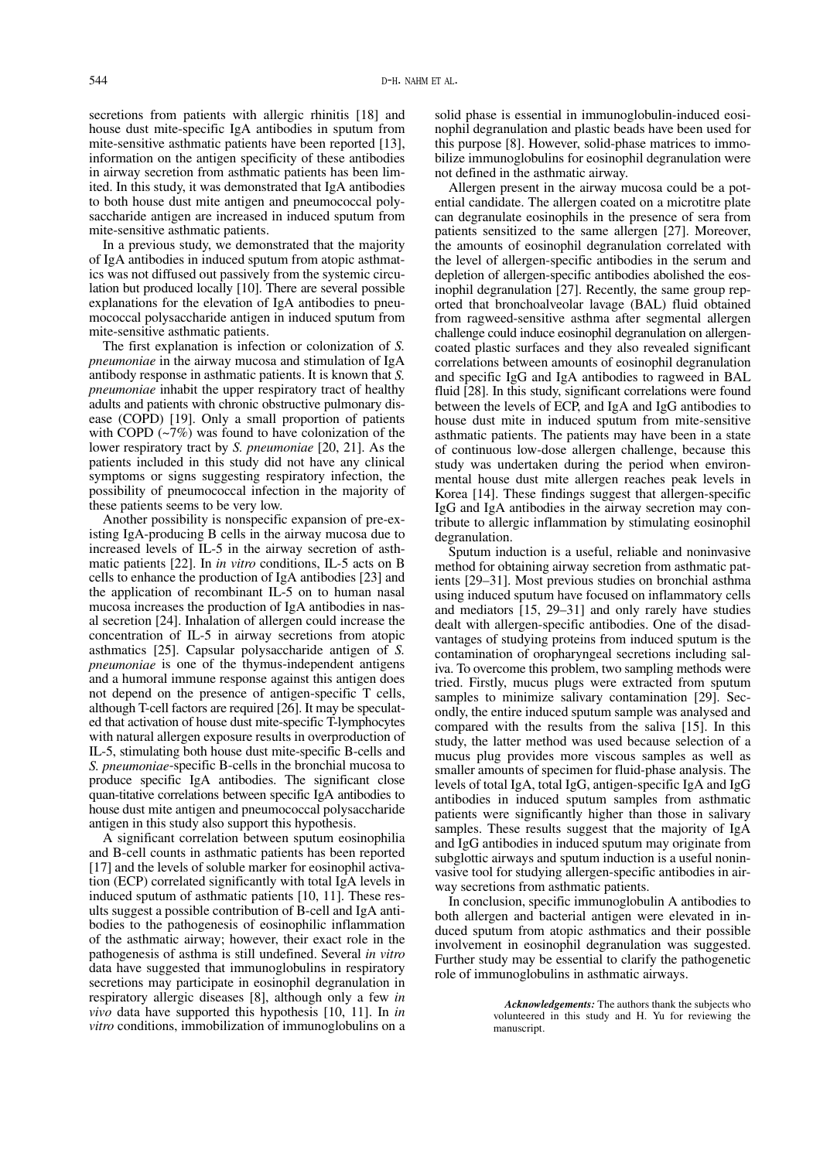secretions from patients with allergic rhinitis [18] and house dust mite-specific IgA antibodies in sputum from mite-sensitive asthmatic patients have been reported [13], information on the antigen specificity of these antibodies in airway secretion from asthmatic patients has been limited. In this study, it was demonstrated that IgA antibodies to both house dust mite antigen and pneumococcal polysaccharide antigen are increased in induced sputum from mite-sensitive asthmatic patients.

In a previous study, we demonstrated that the majority of IgA antibodies in induced sputum from atopic asthmatics was not diffused out passively from the systemic circulation but produced locally [10]. There are several possible explanations for the elevation of IgA antibodies to pneumococcal polysaccharide antigen in induced sputum from mite-sensitive asthmatic patients.

The first explanation is infection or colonization of *S. pneumoniae* in the airway mucosa and stimulation of IgA antibody response in asthmatic patients. It is known that *S. pneumoniae* inhabit the upper respiratory tract of healthy adults and patients with chronic obstructive pulmonary disease (COPD) [19]. Only a small proportion of patients with COPD  $(-7%)$  was found to have colonization of the lower respiratory tract by *S. pneumoniae* [20, 21]. As the patients included in this study did not have any clinical symptoms or signs suggesting respiratory infection, the possibility of pneumococcal infection in the majority of these patients seems to be very low.

Another possibility is nonspecific expansion of pre-existing IgA-producing B cells in the airway mucosa due to increased levels of IL-5 in the airway secretion of asthmatic patients [22]. In *in vitro* conditions, IL-5 acts on B cells to enhance the production of IgA antibodies [23] and the application of recombinant IL-5 on to human nasal mucosa increases the production of IgA antibodies in nasal secretion [24]. Inhalation of allergen could increase the concentration of IL-5 in airway secretions from atopic asthmatics [25]. Capsular polysaccharide antigen of *S. pneumoniae* is one of the thymus-independent antigens and a humoral immune response against this antigen does not depend on the presence of antigen-specific T cells, although T-cell factors are required [26]. It may be speculated that activation of house dust mite-specific T-lymphocytes with natural allergen exposure results in overproduction of IL-5, stimulating both house dust mite-specific B-cells and *S. pneumoniae*-specific B-cells in the bronchial mucosa to produce specific IgA antibodies. The significant close quan-titative correlations between specific IgA antibodies to house dust mite antigen and pneumococcal polysaccharide antigen in this study also support this hypothesis.

A significant correlation between sputum eosinophilia and B-cell counts in asthmatic patients has been reported [17] and the levels of soluble marker for eosinophil activation (ECP) correlated significantly with total IgA levels in induced sputum of asthmatic patients [10, 11]. These results suggest a possible contribution of B-cell and IgA antibodies to the pathogenesis of eosinophilic inflammation of the asthmatic airway; however, their exact role in the pathogenesis of asthma is still undefined. Several *in vitro* data have suggested that immunoglobulins in respiratory secretions may participate in eosinophil degranulation in respiratory allergic diseases [8], although only a few *in vivo* data have supported this hypothesis [10, 11]. In *in vitro* conditions, immobilization of immunoglobulins on a solid phase is essential in immunoglobulin-induced eosinophil degranulation and plastic beads have been used for this purpose [8]. However, solid-phase matrices to immobilize immunoglobulins for eosinophil degranulation were not defined in the asthmatic airway.

Allergen present in the airway mucosa could be a potential candidate. The allergen coated on a microtitre plate can degranulate eosinophils in the presence of sera from patients sensitized to the same allergen [27]. Moreover, the amounts of eosinophil degranulation correlated with the level of allergen-specific antibodies in the serum and depletion of allergen-specific antibodies abolished the eosinophil degranulation [27]. Recently, the same group reported that bronchoalveolar lavage (BAL) fluid obtained from ragweed-sensitive asthma after segmental allergen challenge could induce eosinophil degranulation on allergencoated plastic surfaces and they also revealed significant correlations between amounts of eosinophil degranulation and specific IgG and IgA antibodies to ragweed in BAL fluid [28]. In this study, significant correlations were found between the levels of ECP, and IgA and IgG antibodies to house dust mite in induced sputum from mite-sensitive asthmatic patients. The patients may have been in a state of continuous low-dose allergen challenge, because this study was undertaken during the period when environmental house dust mite allergen reaches peak levels in Korea [14]. These findings suggest that allergen-specific IgG and IgA antibodies in the airway secretion may contribute to allergic inflammation by stimulating eosinophil degranulation.

Sputum induction is a useful, reliable and noninvasive method for obtaining airway secretion from asthmatic patients [29–31]. Most previous studies on bronchial asthma using induced sputum have focused on inflammatory cells and mediators [15, 29–31] and only rarely have studies dealt with allergen-specific antibodies. One of the disadvantages of studying proteins from induced sputum is the contamination of oropharyngeal secretions including saliva. To overcome this problem, two sampling methods were tried. Firstly, mucus plugs were extracted from sputum samples to minimize salivary contamination [29]. Secondly, the entire induced sputum sample was analysed and compared with the results from the saliva [15]. In this study, the latter method was used because selection of a mucus plug provides more viscous samples as well as smaller amounts of specimen for fluid-phase analysis. The levels of total IgA, total IgG, antigen-specific IgA and IgG antibodies in induced sputum samples from asthmatic patients were significantly higher than those in salivary samples. These results suggest that the majority of IgA and IgG antibodies in induced sputum may originate from subglottic airways and sputum induction is a useful noninvasive tool for studying allergen-specific antibodies in airway secretions from asthmatic patients.

In conclusion, specific immunoglobulin A antibodies to both allergen and bacterial antigen were elevated in induced sputum from atopic asthmatics and their possible involvement in eosinophil degranulation was suggested. Further study may be essential to clarify the pathogenetic role of immunoglobulins in asthmatic airways.

*Acknowledgements:* The authors thank the subjects who volunteered in this study and H. Yu for reviewing the manuscript.